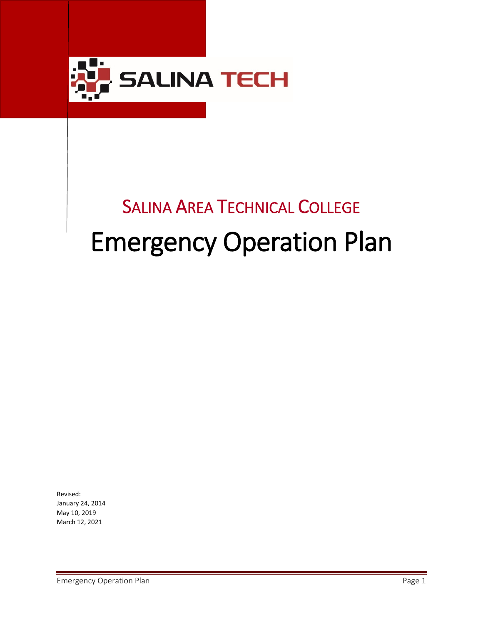

# SALINA AREA TECHNICAL COLLEGE Emergency Operation Plan

Revised: January 24, 2014 May 10, 2019 March 12, 2021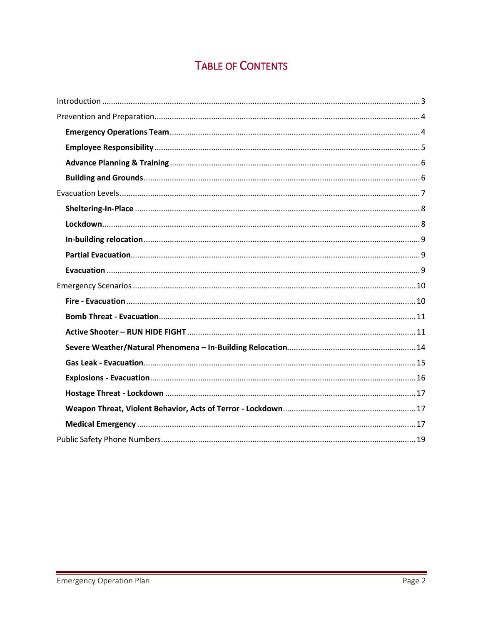# **TABLE OF CONTENTS**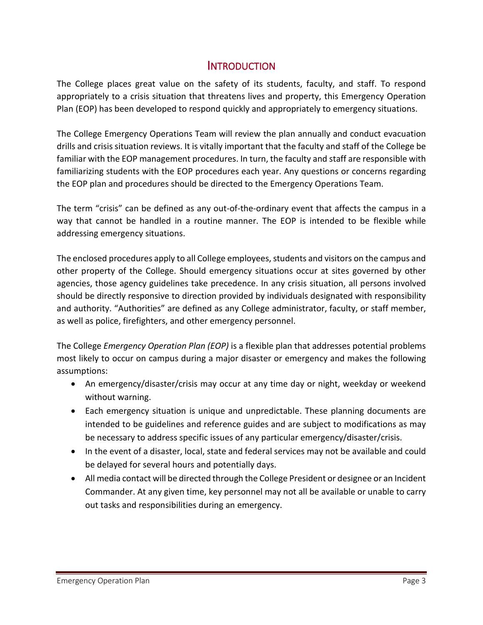# **INTRODUCTION**

<span id="page-2-0"></span>The College places great value on the safety of its students, faculty, and staff. To respond appropriately to a crisis situation that threatens lives and property, this Emergency Operation Plan (EOP) has been developed to respond quickly and appropriately to emergency situations.

The College Emergency Operations Team will review the plan annually and conduct evacuation drills and crisis situation reviews. It is vitally important that the faculty and staff of the College be familiar with the EOP management procedures. In turn, the faculty and staff are responsible with familiarizing students with the EOP procedures each year. Any questions or concerns regarding the EOP plan and procedures should be directed to the Emergency Operations Team.

The term "crisis" can be defined as any out-of-the-ordinary event that affects the campus in a way that cannot be handled in a routine manner. The EOP is intended to be flexible while addressing emergency situations.

The enclosed procedures apply to all College employees, students and visitors on the campus and other property of the College. Should emergency situations occur at sites governed by other agencies, those agency guidelines take precedence. In any crisis situation, all persons involved should be directly responsive to direction provided by individuals designated with responsibility and authority. "Authorities" are defined as any College administrator, faculty, or staff member, as well as police, firefighters, and other emergency personnel.

The College *Emergency Operation Plan (EOP)* is a flexible plan that addresses potential problems most likely to occur on campus during a major disaster or emergency and makes the following assumptions:

- An emergency/disaster/crisis may occur at any time day or night, weekday or weekend without warning.
- Each emergency situation is unique and unpredictable. These planning documents are intended to be guidelines and reference guides and are subject to modifications as may be necessary to address specific issues of any particular emergency/disaster/crisis.
- In the event of a disaster, local, state and federal services may not be available and could be delayed for several hours and potentially days.
- All media contact will be directed through the College President or designee or an Incident Commander. At any given time, key personnel may not all be available or unable to carry out tasks and responsibilities during an emergency.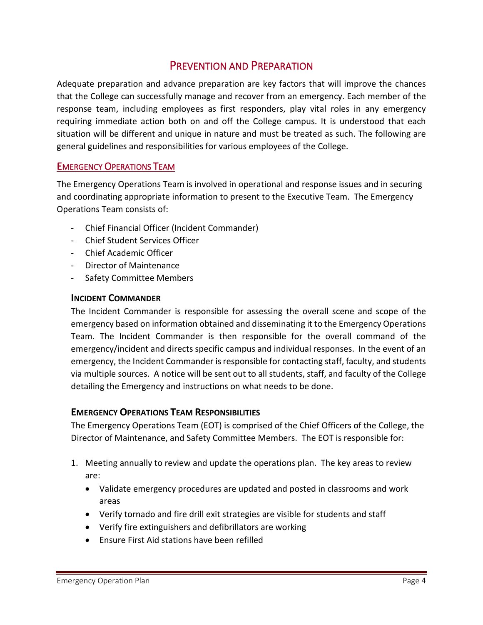# PREVENTION AND PREPARATION

<span id="page-3-0"></span>Adequate preparation and advance preparation are key factors that will improve the chances that the College can successfully manage and recover from an emergency. Each member of the response team, including employees as first responders, play vital roles in any emergency requiring immediate action both on and off the College campus. It is understood that each situation will be different and unique in nature and must be treated as such. The following are general guidelines and responsibilities for various employees of the College.

#### <span id="page-3-1"></span>EMERGENCY OPERATIONS TEAM

The Emergency Operations Team is involved in operational and response issues and in securing and coordinating appropriate information to present to the Executive Team. The Emergency Operations Team consists of:

- Chief Financial Officer (Incident Commander)
- Chief Student Services Officer
- Chief Academic Officer
- Director of Maintenance
- Safety Committee Members

#### **INCIDENT COMMANDER**

The Incident Commander is responsible for assessing the overall scene and scope of the emergency based on information obtained and disseminating it to the Emergency Operations Team. The Incident Commander is then responsible for the overall command of the emergency/incident and directs specific campus and individual responses. In the event of an emergency, the Incident Commander is responsible for contacting staff, faculty, and students via multiple sources. A notice will be sent out to all students, staff, and faculty of the College detailing the Emergency and instructions on what needs to be done.

#### **EMERGENCY OPERATIONS TEAM RESPONSIBILITIES**

The Emergency Operations Team (EOT) is comprised of the Chief Officers of the College, the Director of Maintenance, and Safety Committee Members. The EOT is responsible for:

- 1. Meeting annually to review and update the operations plan. The key areas to review are:
	- Validate emergency procedures are updated and posted in classrooms and work areas
	- Verify tornado and fire drill exit strategies are visible for students and staff
	- Verify fire extinguishers and defibrillators are working
	- Ensure First Aid stations have been refilled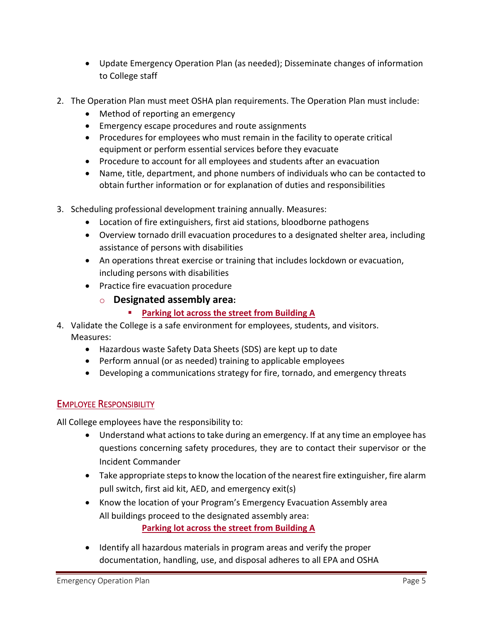- Update Emergency Operation Plan (as needed); Disseminate changes of information to College staff
- 2. The Operation Plan must meet OSHA plan requirements. The Operation Plan must include:
	- Method of reporting an emergency
	- Emergency escape procedures and route assignments
	- Procedures for employees who must remain in the facility to operate critical equipment or perform essential services before they evacuate
	- Procedure to account for all employees and students after an evacuation
	- Name, title, department, and phone numbers of individuals who can be contacted to obtain further information or for explanation of duties and responsibilities
- 3. Scheduling professional development training annually. Measures:
	- Location of fire extinguishers, first aid stations, bloodborne pathogens
	- Overview tornado drill evacuation procedures to a designated shelter area, including assistance of persons with disabilities
	- An operations threat exercise or training that includes lockdown or evacuation, including persons with disabilities
	- Practice fire evacuation procedure
		- o **Designated assembly area:** 
			- **Parking lot across the street from Building A**
- 4. Validate the College is a safe environment for employees, students, and visitors. Measures:
	- Hazardous waste Safety Data Sheets (SDS) are kept up to date
	- Perform annual (or as needed) training to applicable employees
	- Developing a communications strategy for fire, tornado, and emergency threats

# <span id="page-4-0"></span>EMPLOYEE RESPONSIBILITY

All College employees have the responsibility to:

- Understand what actions to take during an emergency. If at any time an employee has questions concerning safety procedures, they are to contact their supervisor or the Incident Commander
- Take appropriate steps to know the location of the nearest fire extinguisher, fire alarm pull switch, first aid kit, AED, and emergency exit(s)
- Know the location of your Program's Emergency Evacuation Assembly area All buildings proceed to the designated assembly area: **Parking lot across the street from Building A**
- Identify all hazardous materials in program areas and verify the proper documentation, handling, use, and disposal adheres to all EPA and OSHA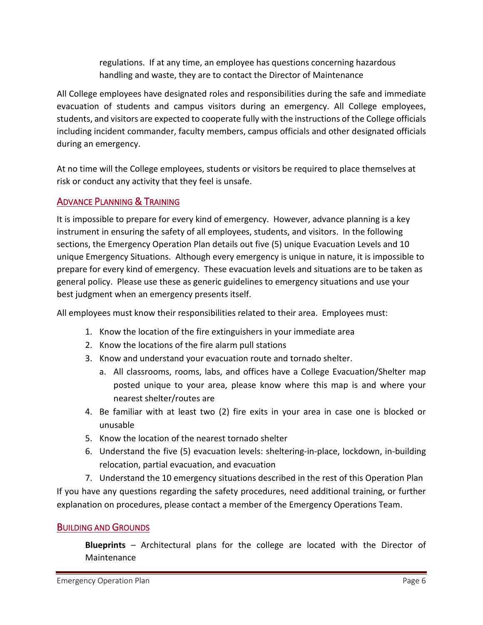regulations. If at any time, an employee has questions concerning hazardous handling and waste, they are to contact the Director of Maintenance

All College employees have designated roles and responsibilities during the safe and immediate evacuation of students and campus visitors during an emergency. All College employees, students, and visitors are expected to cooperate fully with the instructions of the College officials including incident commander, faculty members, campus officials and other designated officials during an emergency.

At no time will the College employees, students or visitors be required to place themselves at risk or conduct any activity that they feel is unsafe.

# <span id="page-5-0"></span>ADVANCE PLANNING & TRAINING

It is impossible to prepare for every kind of emergency. However, advance planning is a key instrument in ensuring the safety of all employees, students, and visitors. In the following sections, the Emergency Operation Plan details out five (5) unique Evacuation Levels and 10 unique Emergency Situations. Although every emergency is unique in nature, it is impossible to prepare for every kind of emergency. These evacuation levels and situations are to be taken as general policy. Please use these as generic guidelines to emergency situations and use your best judgment when an emergency presents itself.

All employees must know their responsibilities related to their area. Employees must:

- 1. Know the location of the fire extinguishers in your immediate area
- 2. Know the locations of the fire alarm pull stations
- 3. Know and understand your evacuation route and tornado shelter.
	- a. All classrooms, rooms, labs, and offices have a College Evacuation/Shelter map posted unique to your area, please know where this map is and where your nearest shelter/routes are
- 4. Be familiar with at least two (2) fire exits in your area in case one is blocked or unusable
- 5. Know the location of the nearest tornado shelter
- 6. Understand the five (5) evacuation levels: sheltering-in-place, lockdown, in-building relocation, partial evacuation, and evacuation

7. Understand the 10 emergency situations described in the rest of this Operation Plan If you have any questions regarding the safety procedures, need additional training, or further explanation on procedures, please contact a member of the Emergency Operations Team.

#### <span id="page-5-1"></span>BUILDING AND GROUNDS

**Blueprints** – Architectural plans for the college are located with the Director of Maintenance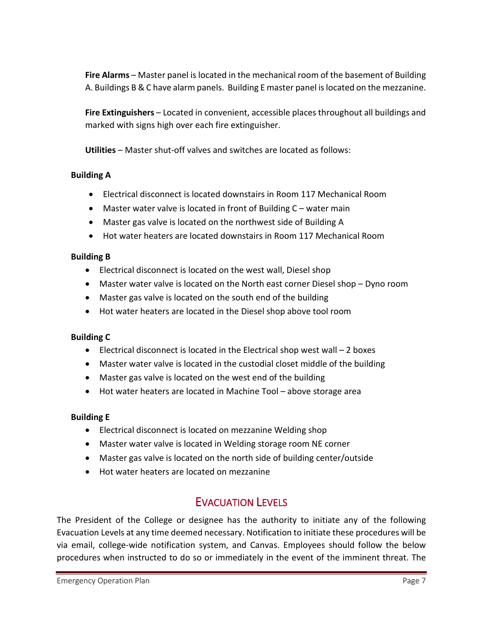**Fire Alarms** – Master panel is located in the mechanical room of the basement of Building A. Buildings B & C have alarm panels. Building E master panel is located on the mezzanine.

**Fire Extinguishers** – Located in convenient, accessible places throughout all buildings and marked with signs high over each fire extinguisher.

**Utilities** – Master shut-off valves and switches are located as follows:

#### **Building A**

- Electrical disconnect is located downstairs in Room 117 Mechanical Room
- Master water valve is located in front of Building C water main
- Master gas valve is located on the northwest side of Building A
- Hot water heaters are located downstairs in Room 117 Mechanical Room

#### **Building B**

- Electrical disconnect is located on the west wall, Diesel shop
- Master water valve is located on the North east corner Diesel shop Dyno room
- Master gas valve is located on the south end of the building
- Hot water heaters are located in the Diesel shop above tool room

#### **Building C**

- Electrical disconnect is located in the Electrical shop west wall 2 boxes
- Master water valve is located in the custodial closet middle of the building
- Master gas valve is located on the west end of the building
- Hot water heaters are located in Machine Tool above storage area

#### **Building E**

- Electrical disconnect is located on mezzanine Welding shop
- Master water valve is located in Welding storage room NE corner
- Master gas valve is located on the north side of building center/outside
- Hot water heaters are located on mezzanine

# EVACUATION LEVELS

<span id="page-6-0"></span>The President of the College or designee has the authority to initiate any of the following Evacuation Levels at any time deemed necessary. Notification to initiate these procedures will be via email, college-wide notification system, and Canvas. Employees should follow the below procedures when instructed to do so or immediately in the event of the imminent threat. The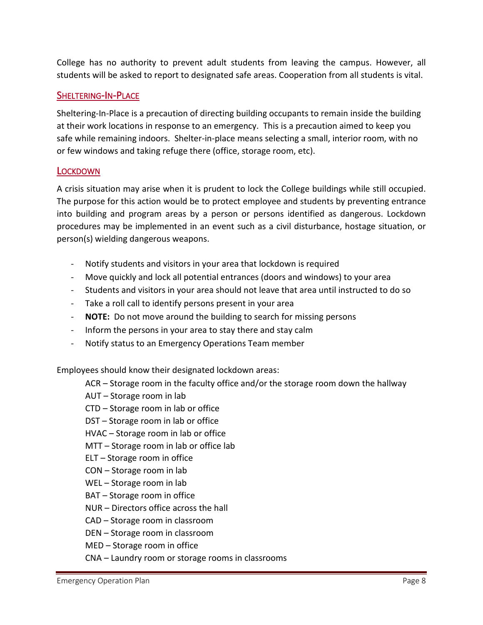College has no authority to prevent adult students from leaving the campus. However, all students will be asked to report to designated safe areas. Cooperation from all students is vital.

#### <span id="page-7-0"></span>SHELTERING-IN-PLACE

Sheltering-In-Place is a precaution of directing building occupants to remain inside the building at their work locations in response to an emergency. This is a precaution aimed to keep you safe while remaining indoors. Shelter-in-place means selecting a small, interior room, with no or few windows and taking refuge there (office, storage room, etc).

#### <span id="page-7-1"></span>**LOCKDOWN**

A crisis situation may arise when it is prudent to lock the College buildings while still occupied. The purpose for this action would be to protect employee and students by preventing entrance into building and program areas by a person or persons identified as dangerous. Lockdown procedures may be implemented in an event such as a civil disturbance, hostage situation, or person(s) wielding dangerous weapons.

- Notify students and visitors in your area that lockdown is required
- Move quickly and lock all potential entrances (doors and windows) to your area
- Students and visitors in your area should not leave that area until instructed to do so
- Take a roll call to identify persons present in your area
- **NOTE:** Do not move around the building to search for missing persons
- Inform the persons in your area to stay there and stay calm
- Notify status to an Emergency Operations Team member

Employees should know their designated lockdown areas:

- ACR Storage room in the faculty office and/or the storage room down the hallway
- AUT Storage room in lab
- CTD Storage room in lab or office
- DST Storage room in lab or office
- HVAC Storage room in lab or office
- MTT Storage room in lab or office lab
- ELT Storage room in office
- CON Storage room in lab
- WEL Storage room in lab
- BAT Storage room in office
- NUR Directors office across the hall
- CAD Storage room in classroom
- DEN Storage room in classroom
- MED Storage room in office
- CNA Laundry room or storage rooms in classrooms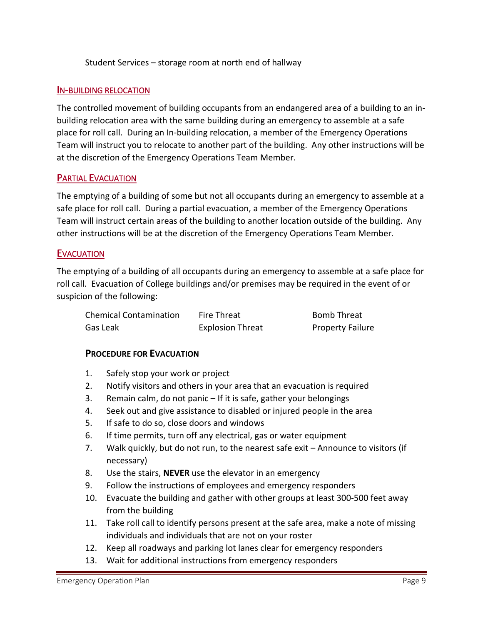Student Services – storage room at north end of hallway

#### <span id="page-8-0"></span>IN-BUILDING RELOCATION

The controlled movement of building occupants from an endangered area of a building to an inbuilding relocation area with the same building during an emergency to assemble at a safe place for roll call. During an In-building relocation, a member of the Emergency Operations Team will instruct you to relocate to another part of the building. Any other instructions will be at the discretion of the Emergency Operations Team Member.

#### <span id="page-8-1"></span>PARTIAL EVACUATION

The emptying of a building of some but not all occupants during an emergency to assemble at a safe place for roll call. During a partial evacuation, a member of the Emergency Operations Team will instruct certain areas of the building to another location outside of the building. Any other instructions will be at the discretion of the Emergency Operations Team Member.

#### <span id="page-8-2"></span>**EVACUATION**

The emptying of a building of all occupants during an emergency to assemble at a safe place for roll call. Evacuation of College buildings and/or premises may be required in the event of or suspicion of the following:

| <b>Chemical Contamination</b> | Fire Threat             | <b>Bomb Threat</b>      |
|-------------------------------|-------------------------|-------------------------|
| Gas Leak                      | <b>Explosion Threat</b> | <b>Property Failure</b> |

#### **PROCEDURE FOR EVACUATION**

- 1. Safely stop your work or project
- 2. Notify visitors and others in your area that an evacuation is required
- 3. Remain calm, do not panic If it is safe, gather your belongings
- 4. Seek out and give assistance to disabled or injured people in the area
- 5. If safe to do so, close doors and windows
- 6. If time permits, turn off any electrical, gas or water equipment
- 7. Walk quickly, but do not run, to the nearest safe exit Announce to visitors (if necessary)
- 8. Use the stairs, **NEVER** use the elevator in an emergency
- 9. Follow the instructions of employees and emergency responders
- 10. Evacuate the building and gather with other groups at least 300-500 feet away from the building
- 11. Take roll call to identify persons present at the safe area, make a note of missing individuals and individuals that are not on your roster
- 12. Keep all roadways and parking lot lanes clear for emergency responders
- 13. Wait for additional instructions from emergency responders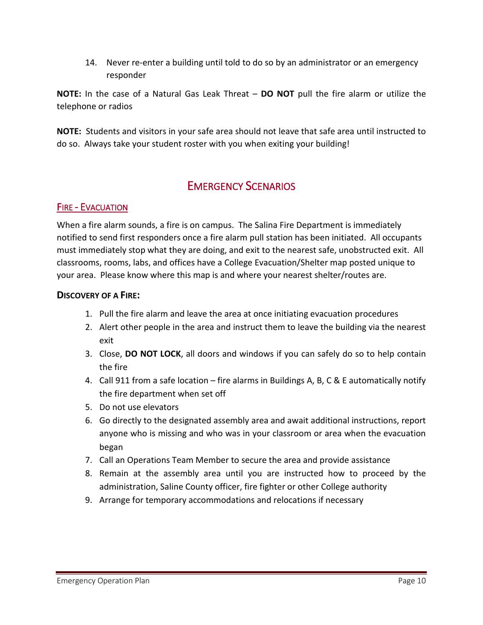14. Never re-enter a building until told to do so by an administrator or an emergency responder

**NOTE:** In the case of a Natural Gas Leak Threat – **DO NOT** pull the fire alarm or utilize the telephone or radios

**NOTE:** Students and visitors in your safe area should not leave that safe area until instructed to do so. Always take your student roster with you when exiting your building!

# EMERGENCY SCENARIOS

#### <span id="page-9-1"></span><span id="page-9-0"></span>FIRE - EVACUATION

When a fire alarm sounds, a fire is on campus. The Salina Fire Department is immediately notified to send first responders once a fire alarm pull station has been initiated. All occupants must immediately stop what they are doing, and exit to the nearest safe, unobstructed exit. All classrooms, rooms, labs, and offices have a College Evacuation/Shelter map posted unique to your area. Please know where this map is and where your nearest shelter/routes are.

#### **DISCOVERY OF A FIRE:**

- 1. Pull the fire alarm and leave the area at once initiating evacuation procedures
- 2. Alert other people in the area and instruct them to leave the building via the nearest exit
- 3. Close, **DO NOT LOCK**, all doors and windows if you can safely do so to help contain the fire
- 4. Call 911 from a safe location fire alarms in Buildings A, B, C & E automatically notify the fire department when set off
- 5. Do not use elevators
- 6. Go directly to the designated assembly area and await additional instructions, report anyone who is missing and who was in your classroom or area when the evacuation began
- 7. Call an Operations Team Member to secure the area and provide assistance
- 8. Remain at the assembly area until you are instructed how to proceed by the administration, Saline County officer, fire fighter or other College authority
- 9. Arrange for temporary accommodations and relocations if necessary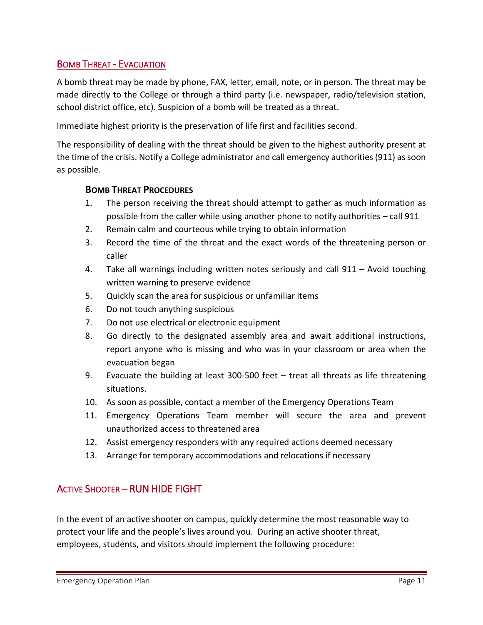## <span id="page-10-0"></span>BOMB THREAT - EVACUATION

A bomb threat may be made by phone, FAX, letter, email, note, or in person. The threat may be made directly to the College or through a third party (i.e. newspaper, radio/television station, school district office, etc). Suspicion of a bomb will be treated as a threat.

Immediate highest priority is the preservation of life first and facilities second.

The responsibility of dealing with the threat should be given to the highest authority present at the time of the crisis. Notify a College administrator and call emergency authorities (911) as soon as possible.

#### **BOMB THREAT PROCEDURES**

- 1. The person receiving the threat should attempt to gather as much information as possible from the caller while using another phone to notify authorities – call 911
- 2. Remain calm and courteous while trying to obtain information
- 3. Record the time of the threat and the exact words of the threatening person or caller
- 4. Take all warnings including written notes seriously and call 911 Avoid touching written warning to preserve evidence
- 5. Quickly scan the area for suspicious or unfamiliar items
- 6. Do not touch anything suspicious
- 7. Do not use electrical or electronic equipment
- 8. Go directly to the designated assembly area and await additional instructions, report anyone who is missing and who was in your classroom or area when the evacuation began
- 9. Evacuate the building at least 300-500 feet treat all threats as life threatening situations.
- 10. As soon as possible, contact a member of the Emergency Operations Team
- 11. Emergency Operations Team member will secure the area and prevent unauthorized access to threatened area
- 12. Assist emergency responders with any required actions deemed necessary
- 13. Arrange for temporary accommodations and relocations if necessary

# <span id="page-10-1"></span>ACTIVE SHOOTER – RUN HIDE FIGHT

In the event of an active shooter on campus, quickly determine the most reasonable way to protect your life and the people's lives around you. During an active shooter threat, employees, students, and visitors should implement the following procedure: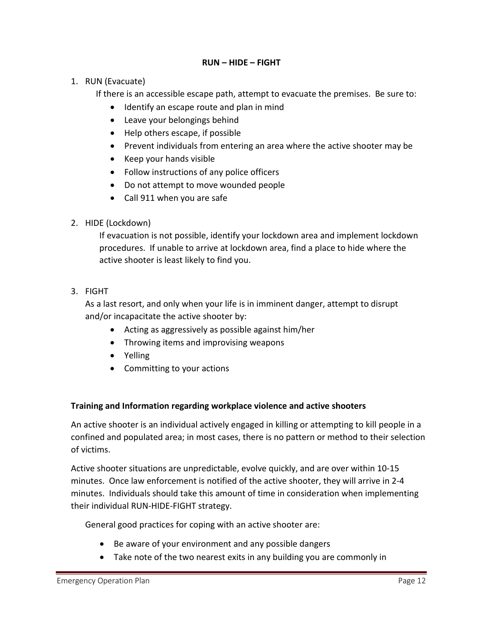#### **RUN – HIDE – FIGHT**

#### 1. RUN (Evacuate)

If there is an accessible escape path, attempt to evacuate the premises. Be sure to:

- Identify an escape route and plan in mind
- Leave your belongings behind
- Help others escape, if possible
- Prevent individuals from entering an area where the active shooter may be
- Keep your hands visible
- Follow instructions of any police officers
- Do not attempt to move wounded people
- Call 911 when you are safe

#### 2. HIDE (Lockdown)

If evacuation is not possible, identify your lockdown area and implement lockdown procedures. If unable to arrive at lockdown area, find a place to hide where the active shooter is least likely to find you.

3. FIGHT

As a last resort, and only when your life is in imminent danger, attempt to disrupt and/or incapacitate the active shooter by:

- Acting as aggressively as possible against him/her
- Throwing items and improvising weapons
- Yelling
- Committing to your actions

#### **Training and Information regarding workplace violence and active shooters**

An active shooter is an individual actively engaged in killing or attempting to kill people in a confined and populated area; in most cases, there is no pattern or method to their selection of victims.

Active shooter situations are unpredictable, evolve quickly, and are over within 10-15 minutes. Once law enforcement is notified of the active shooter, they will arrive in 2-4 minutes. Individuals should take this amount of time in consideration when implementing their individual RUN-HIDE-FIGHT strategy.

General good practices for coping with an active shooter are:

- Be aware of your environment and any possible dangers
- Take note of the two nearest exits in any building you are commonly in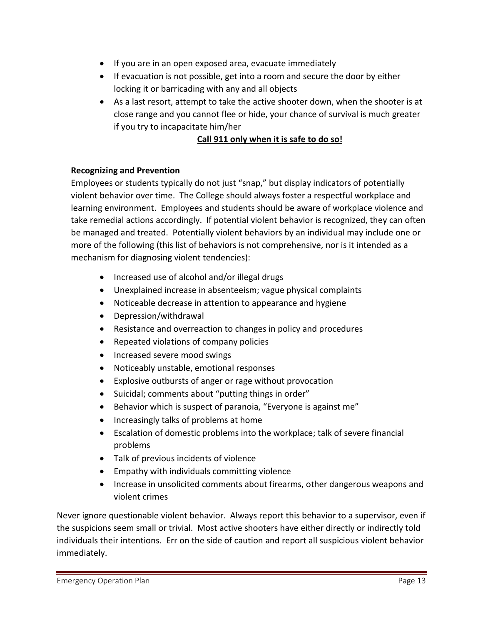- If you are in an open exposed area, evacuate immediately
- If evacuation is not possible, get into a room and secure the door by either locking it or barricading with any and all objects
- As a last resort, attempt to take the active shooter down, when the shooter is at close range and you cannot flee or hide, your chance of survival is much greater if you try to incapacitate him/her

## **Call 911 only when it is safe to do so!**

#### **Recognizing and Prevention**

Employees or students typically do not just "snap," but display indicators of potentially violent behavior over time. The College should always foster a respectful workplace and learning environment. Employees and students should be aware of workplace violence and take remedial actions accordingly. If potential violent behavior is recognized, they can often be managed and treated. Potentially violent behaviors by an individual may include one or more of the following (this list of behaviors is not comprehensive, nor is it intended as a mechanism for diagnosing violent tendencies):

- Increased use of alcohol and/or illegal drugs
- Unexplained increase in absenteeism; vague physical complaints
- Noticeable decrease in attention to appearance and hygiene
- Depression/withdrawal
- Resistance and overreaction to changes in policy and procedures
- Repeated violations of company policies
- Increased severe mood swings
- Noticeably unstable, emotional responses
- Explosive outbursts of anger or rage without provocation
- Suicidal; comments about "putting things in order"
- Behavior which is suspect of paranoia, "Everyone is against me"
- Increasingly talks of problems at home
- Escalation of domestic problems into the workplace; talk of severe financial problems
- Talk of previous incidents of violence
- Empathy with individuals committing violence
- Increase in unsolicited comments about firearms, other dangerous weapons and violent crimes

Never ignore questionable violent behavior. Always report this behavior to a supervisor, even if the suspicions seem small or trivial. Most active shooters have either directly or indirectly told individuals their intentions. Err on the side of caution and report all suspicious violent behavior immediately.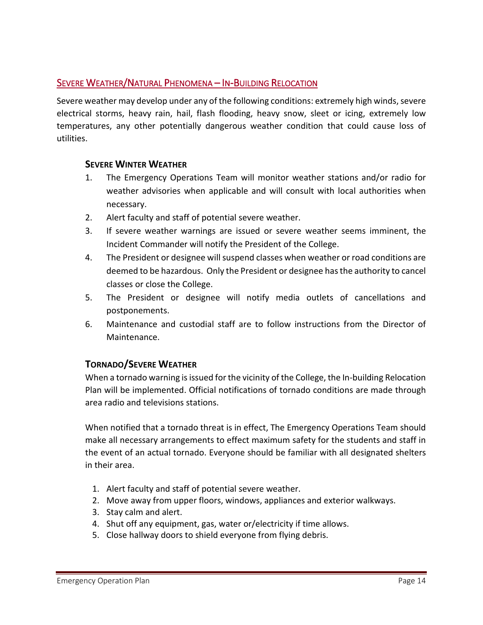## <span id="page-13-0"></span>SEVERE WEATHER/NATURAL PHENOMENA – IN-BUILDING RELOCATION

Severe weather may develop under any of the following conditions: extremely high winds, severe electrical storms, heavy rain, hail, flash flooding, heavy snow, sleet or icing, extremely low temperatures, any other potentially dangerous weather condition that could cause loss of utilities.

#### **SEVERE WINTER WEATHER**

- 1. The Emergency Operations Team will monitor weather stations and/or radio for weather advisories when applicable and will consult with local authorities when necessary.
- 2. Alert faculty and staff of potential severe weather.
- 3. If severe weather warnings are issued or severe weather seems imminent, the Incident Commander will notify the President of the College.
- 4. The President or designee will suspend classes when weather or road conditions are deemed to be hazardous. Only the President or designee has the authority to cancel classes or close the College.
- 5. The President or designee will notify media outlets of cancellations and postponements.
- 6. Maintenance and custodial staff are to follow instructions from the Director of Maintenance.

#### **TORNADO/SEVERE WEATHER**

When a tornado warning is issued for the vicinity of the College, the In-building Relocation Plan will be implemented. Official notifications of tornado conditions are made through area radio and televisions stations.

When notified that a tornado threat is in effect, The Emergency Operations Team should make all necessary arrangements to effect maximum safety for the students and staff in the event of an actual tornado. Everyone should be familiar with all designated shelters in their area.

- 1. Alert faculty and staff of potential severe weather.
- 2. Move away from upper floors, windows, appliances and exterior walkways.
- 3. Stay calm and alert.
- 4. Shut off any equipment, gas, water or/electricity if time allows.
- 5. Close hallway doors to shield everyone from flying debris.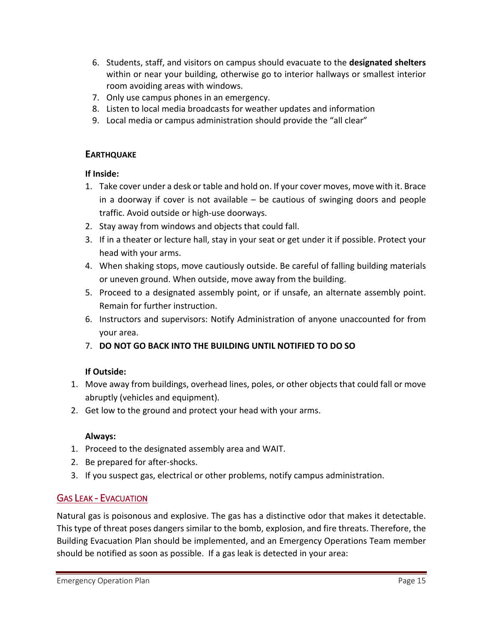- 6. Students, staff, and visitors on campus should evacuate to the **designated shelters** within or near your building, otherwise go to interior hallways or smallest interior room avoiding areas with windows.
- 7. Only use campus phones in an emergency.
- 8. Listen to local media broadcasts for weather updates and information
- 9. Local media or campus administration should provide the "all clear"

#### **EARTHQUAKE**

#### **If Inside:**

- 1. Take cover under a desk or table and hold on. If your cover moves, move with it. Brace in a doorway if cover is not available – be cautious of swinging doors and people traffic. Avoid outside or high-use doorways.
- 2. Stay away from windows and objects that could fall.
- 3. If in a theater or lecture hall, stay in your seat or get under it if possible. Protect your head with your arms.
- 4. When shaking stops, move cautiously outside. Be careful of falling building materials or uneven ground. When outside, move away from the building.
- 5. Proceed to a designated assembly point, or if unsafe, an alternate assembly point. Remain for further instruction.
- 6. Instructors and supervisors: Notify Administration of anyone unaccounted for from your area.
- 7. **DO NOT GO BACK INTO THE BUILDING UNTIL NOTIFIED TO DO SO**

#### **If Outside:**

- 1. Move away from buildings, overhead lines, poles, or other objects that could fall or move abruptly (vehicles and equipment).
- 2. Get low to the ground and protect your head with your arms.

#### **Always:**

- 1. Proceed to the designated assembly area and WAIT.
- 2. Be prepared for after-shocks.
- 3. If you suspect gas, electrical or other problems, notify campus administration.

# <span id="page-14-0"></span>GAS LEAK - EVACUATION

Natural gas is poisonous and explosive. The gas has a distinctive odor that makes it detectable. This type of threat poses dangers similar to the bomb, explosion, and fire threats. Therefore, the Building Evacuation Plan should be implemented, and an Emergency Operations Team member should be notified as soon as possible. If a gas leak is detected in your area: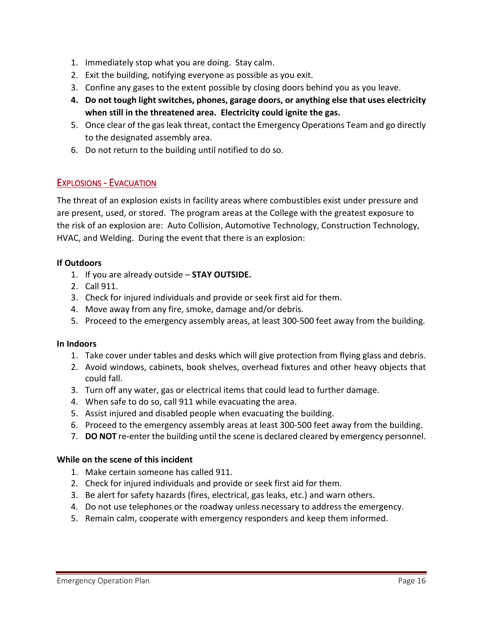- 1. Immediately stop what you are doing. Stay calm.
- 2. Exit the building, notifying everyone as possible as you exit.
- 3. Confine any gases to the extent possible by closing doors behind you as you leave.
- **4. Do not tough light switches, phones, garage doors, or anything else that uses electricity when still in the threatened area. Electricity could ignite the gas.**
- 5. Once clear of the gas leak threat, contact the Emergency Operations Team and go directly to the designated assembly area.
- 6. Do not return to the building until notified to do so.

## <span id="page-15-0"></span>EXPLOSIONS - EVACUATION

The threat of an explosion exists in facility areas where combustibles exist under pressure and are present, used, or stored. The program areas at the College with the greatest exposure to the risk of an explosion are: Auto Collision, Automotive Technology, Construction Technology, HVAC, and Welding. During the event that there is an explosion:

#### **If Outdoors**

- 1. If you are already outside **STAY OUTSIDE.**
- 2. Call 911.
- 3. Check for injured individuals and provide or seek first aid for them.
- 4. Move away from any fire, smoke, damage and/or debris.
- 5. Proceed to the emergency assembly areas, at least 300-500 feet away from the building.

#### **In Indoors**

- 1. Take cover under tables and desks which will give protection from flying glass and debris.
- 2. Avoid windows, cabinets, book shelves, overhead fixtures and other heavy objects that could fall.
- 3. Turn off any water, gas or electrical items that could lead to further damage.
- 4. When safe to do so, call 911 while evacuating the area.
- 5. Assist injured and disabled people when evacuating the building.
- 6. Proceed to the emergency assembly areas at least 300-500 feet away from the building.
- 7. **DO NOT** re-enter the building until the scene is declared cleared by emergency personnel.

#### **While on the scene of this incident**

- 1. Make certain someone has called 911.
- 2. Check for injured individuals and provide or seek first aid for them.
- 3. Be alert for safety hazards (fires, electrical, gas leaks, etc.) and warn others.
- 4. Do not use telephones or the roadway unless necessary to address the emergency.
- 5. Remain calm, cooperate with emergency responders and keep them informed.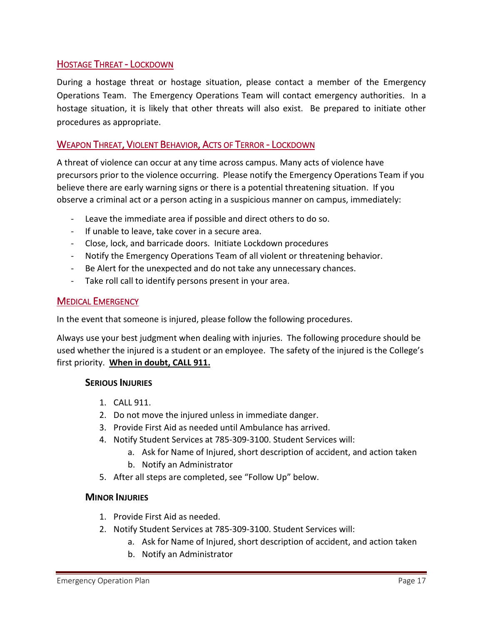#### <span id="page-16-0"></span>HOSTAGE THREAT - LOCKDOWN

During a hostage threat or hostage situation, please contact a member of the Emergency Operations Team. The Emergency Operations Team will contact emergency authorities. In a hostage situation, it is likely that other threats will also exist. Be prepared to initiate other procedures as appropriate.

#### <span id="page-16-1"></span>WEAPON THREAT, VIOLENT BEHAVIOR, ACTS OF TERROR - LOCKDOWN

A threat of violence can occur at any time across campus. Many acts of violence have precursors prior to the violence occurring. Please notify the Emergency Operations Team if you believe there are early warning signs or there is a potential threatening situation. If you observe a criminal act or a person acting in a suspicious manner on campus, immediately:

- Leave the immediate area if possible and direct others to do so.
- If unable to leave, take cover in a secure area.
- Close, lock, and barricade doors. Initiate Lockdown procedures
- Notify the Emergency Operations Team of all violent or threatening behavior.
- Be Alert for the unexpected and do not take any unnecessary chances.
- Take roll call to identify persons present in your area.

#### <span id="page-16-2"></span>MEDICAL EMERGENCY

In the event that someone is injured, please follow the following procedures.

Always use your best judgment when dealing with injuries. The following procedure should be used whether the injured is a student or an employee. The safety of the injured is the College's first priority. **When in doubt, CALL 911.**

#### **SERIOUS INJURIES**

- 1. CALL 911.
- 2. Do not move the injured unless in immediate danger.
- 3. Provide First Aid as needed until Ambulance has arrived.
- 4. Notify Student Services at 785-309-3100. Student Services will:
	- a. Ask for Name of Injured, short description of accident, and action taken
	- b. Notify an Administrator
- 5. After all steps are completed, see "Follow Up" below.

#### **MINOR INJURIES**

- 1. Provide First Aid as needed.
- 2. Notify Student Services at 785-309-3100. Student Services will:
	- a. Ask for Name of Injured, short description of accident, and action taken
	- b. Notify an Administrator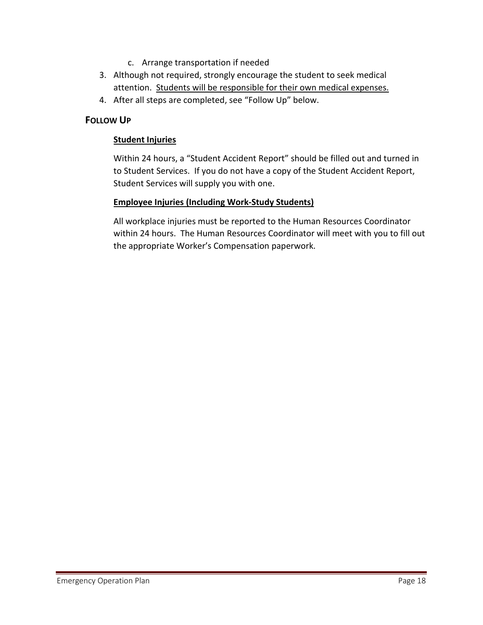- c. Arrange transportation if needed
- 3. Although not required, strongly encourage the student to seek medical attention. Students will be responsible for their own medical expenses.
- 4. After all steps are completed, see "Follow Up" below.

#### **FOLLOW UP**

#### **Student Injuries**

Within 24 hours, a "Student Accident Report" should be filled out and turned in to Student Services. If you do not have a copy of the Student Accident Report, Student Services will supply you with one.

#### **Employee Injuries (Including Work-Study Students)**

All workplace injuries must be reported to the Human Resources Coordinator within 24 hours. The Human Resources Coordinator will meet with you to fill out the appropriate Worker's Compensation paperwork.